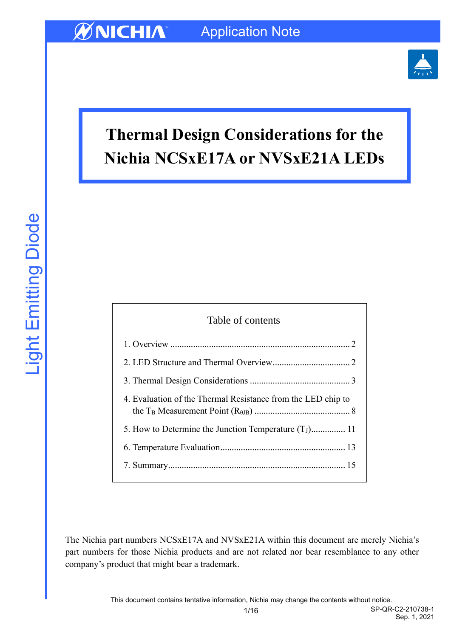

# **Thermal Design Considerations for the Nichia NCSxE17A or NVSxE21A LEDs**

| Table of contents                                            |  |  |  |  |
|--------------------------------------------------------------|--|--|--|--|
|                                                              |  |  |  |  |
|                                                              |  |  |  |  |
|                                                              |  |  |  |  |
| 4. Evaluation of the Thermal Resistance from the LED chip to |  |  |  |  |
| 5. How to Determine the Junction Temperature $(T_1)$ 11      |  |  |  |  |
|                                                              |  |  |  |  |
|                                                              |  |  |  |  |

The Nichia part numbers NCSxE17A and NVSxE21A within this document are merely Nichia's part numbers for those Nichia products and are not related nor bear resemblance to any other company's product that might bear a trademark.

Sep. 1, 2021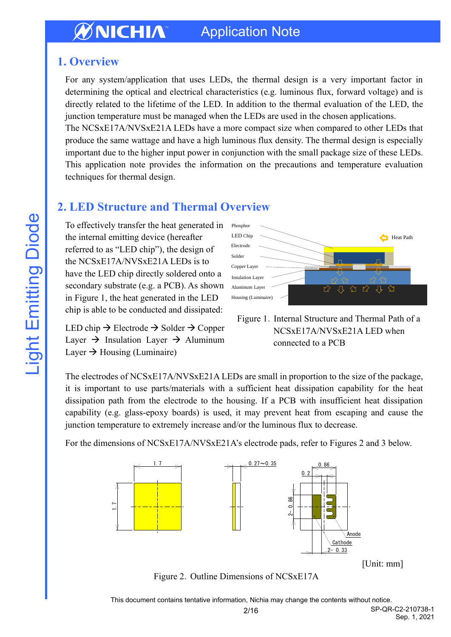# <span id="page-1-0"></span>**1. Overview**

For any system/application that uses LEDs, the thermal design is a very important factor in determining the optical and electrical characteristics (e.g. luminous flux, forward voltage) and is directly related to the lifetime of the LED. In addition to the thermal evaluation of the LED, the junction temperature must be managed when the LEDs are used in the chosen applications.

The NCSxE17A/NVSxE21A LEDs have a more compact size when compared to other LEDs that produce the same wattage and have a high luminous flux density. The thermal design is especially important due to the higher input power in conjunction with the small package size of these LEDs. This application note provides the information on the precautions and temperature evaluation techniques for thermal design.

# <span id="page-1-1"></span>**2. LED Structure and Thermal Overview**

To effectively transfer the heat generated in the internal emitting device (hereafter referred to as "LED chip"), the design of the NCSxE17A/NVSxE21A LEDs is to have the LED chip directly soldered onto a secondary substrate (e.g. a PCB). As shown in Figure 1, the heat generated in the LED chip is able to be conducted and dissipated:

LED chip  $\rightarrow$  Electrode  $\rightarrow$  Solder  $\rightarrow$  Copper Layer  $\rightarrow$  Insulation Layer  $\rightarrow$  Aluminum Layer  $\rightarrow$  Housing (Luminaire)



Figure 1. Internal Structure and Thermal Path of a NCSxE17A/NVSxE21A LED when connected to a PCB

The electrodes of NCSxE17A/NVSxE21A LEDs are small in proportion to the size of the package, it is important to use parts/materials with a sufficient heat dissipation capability for the heat dissipation path from the electrode to the housing. If a PCB with insufficient heat dissipation capability (e.g. glass-epoxy boards) is used, it may prevent heat from escaping and cause the junction temperature to extremely increase and/or the luminous flux to decrease.

For the dimensions of NCSxE17A/NVSxE21A's electrode pads, refer to Figures 2 and 3 below.



Figure 2. Outline Dimensions of NCSxE17A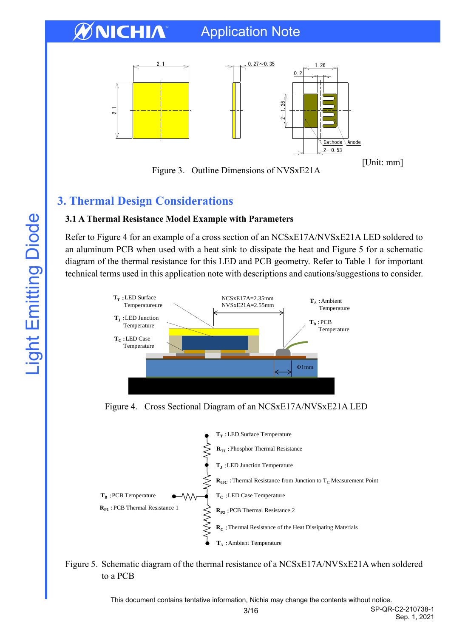

Figure 3. Outline Dimensions of NVSxE21A

[Unit: mm]

# <span id="page-2-0"></span>**3. Thermal Design Considerations**

# **3.1 A Thermal Resistance Model Example with Parameters**

Refer to Figure 4 for an example of a cross section of an NCSxE17A/NVSxE21A LED soldered to an aluminum PCB when used with a heat sink to dissipate the heat and Figure 5 for a schematic diagram of the thermal resistance for this LED and PCB geometry. Refer to Table 1 for important technical terms used in this application note with descriptions and cautions/suggestions to consider.



Figure 4. Cross Sectional Diagram of an NCSxE17A/NVSxE21A LED



Figure 5. Schematic diagram of the thermal resistance of a NCSxE17A/NVSxE21A when soldered to a PCB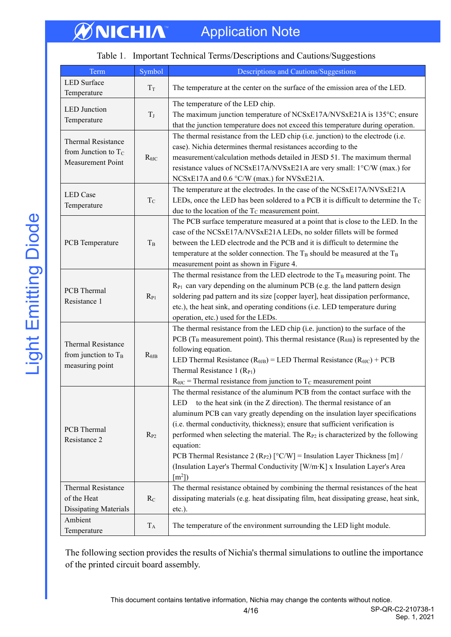#### Table 1. Important Technical Terms/Descriptions and Cautions/Suggestions

| Term                                                                     | Symbol          | Descriptions and Cautions/Suggestions                                                                                                                                                                                                                                                                                                                                                                                                                                                                                                                                                                                                                     |  |  |
|--------------------------------------------------------------------------|-----------------|-----------------------------------------------------------------------------------------------------------------------------------------------------------------------------------------------------------------------------------------------------------------------------------------------------------------------------------------------------------------------------------------------------------------------------------------------------------------------------------------------------------------------------------------------------------------------------------------------------------------------------------------------------------|--|--|
| <b>LED</b> Surface<br>Temperature                                        | $T_T$           | The temperature at the center on the surface of the emission area of the LED.                                                                                                                                                                                                                                                                                                                                                                                                                                                                                                                                                                             |  |  |
| <b>LED</b> Junction<br>Temperature                                       | $T_J$           | The temperature of the LED chip.<br>The maximum junction temperature of NCSxE17A/NVSxE21A is 135°C; ensure<br>that the junction temperature does not exceed this temperature during operation.                                                                                                                                                                                                                                                                                                                                                                                                                                                            |  |  |
| <b>Thermal Resistance</b><br>from Junction to $T_C$<br>Measurement Point | $R_{\theta JC}$ | The thermal resistance from the LED chip (i.e. junction) to the electrode (i.e.<br>case). Nichia determines thermal resistances according to the<br>measurement/calculation methods detailed in JESD 51. The maximum thermal<br>resistance values of NCSxE17A/NVSxE21A are very small: 1°C/W (max.) for<br>NCSxE17A and 0.6 °C/W (max.) for NVSxE21A.                                                                                                                                                                                                                                                                                                     |  |  |
| <b>LED</b> Case<br>Temperature                                           | $T_{\rm C}$     | The temperature at the electrodes. In the case of the NCSxE17A/NVSxE21A<br>LEDs, once the LED has been soldered to a PCB it is difficult to determine the $T_c$<br>due to the location of the $T_c$ measurement point.                                                                                                                                                                                                                                                                                                                                                                                                                                    |  |  |
| PCB Temperature                                                          | $T_B$           | The PCB surface temperature measured at a point that is close to the LED. In the<br>case of the NCSxE17A/NVSxE21A LEDs, no solder fillets will be formed<br>between the LED electrode and the PCB and it is difficult to determine the<br>temperature at the solder connection. The $T_B$ should be measured at the $T_B$<br>measurement point as shown in Figure 4.                                                                                                                                                                                                                                                                                      |  |  |
| PCB Thermal<br>Resistance 1                                              | $R_{P1}$        | The thermal resistance from the LED electrode to the T <sub>B</sub> measuring point. The<br>R <sub>P1</sub> can vary depending on the aluminum PCB (e.g. the land pattern design<br>soldering pad pattern and its size [copper layer], heat dissipation performance,<br>etc.), the heat sink, and operating conditions (i.e. LED temperature during<br>operation, etc.) used for the LEDs.                                                                                                                                                                                                                                                                |  |  |
| Thermal Resistance<br>from junction to $T_B$<br>measuring point          | $R_{\theta JB}$ | The thermal resistance from the LED chip (i.e. junction) to the surface of the<br>PCB ( $T_B$ measurement point). This thermal resistance ( $R_{\theta$ JB) is represented by the<br>following equation.<br>LED Thermal Resistance ( $R_{\theta$ JB) = LED Thermal Resistance ( $R_{\theta$ JC) + PCB<br>Thermal Resistance 1 $(R_{P1})$<br>$R_{\theta JC}$ = Thermal resistance from junction to T <sub>C</sub> measurement point                                                                                                                                                                                                                        |  |  |
| PCB Thermal<br>Resistance 2                                              | $R_{P2}$        | The thermal resistance of the aluminum PCB from the contact surface with the<br>LED to the heat sink (in the Z direction). The thermal resistance of an<br>aluminum PCB can vary greatly depending on the insulation layer specifications<br>(i.e. thermal conductivity, thickness); ensure that sufficient verification is<br>performed when selecting the material. The R <sub>P2</sub> is characterized by the following<br>equation:<br>PCB Thermal Resistance 2 (R <sub>P2</sub> ) $\lceil \circ C/W \rceil$ = Insulation Layer Thickness [m] /<br>(Insulation Layer's Thermal Conductivity [W/m·K] x Insulation Layer's Area<br>$\lceil m^2 \rceil$ |  |  |
| Thermal Resistance<br>of the Heat<br><b>Dissipating Materials</b>        | $R_C$           | The thermal resistance obtained by combining the thermal resistances of the heat<br>dissipating materials (e.g. heat dissipating film, heat dissipating grease, heat sink,<br>$etc.$ ).                                                                                                                                                                                                                                                                                                                                                                                                                                                                   |  |  |
| Ambient<br>Temperature                                                   | $T_A$           | The temperature of the environment surrounding the LED light module.                                                                                                                                                                                                                                                                                                                                                                                                                                                                                                                                                                                      |  |  |

The following section provides the results of Nichia's thermal simulations to outline the importance of the printed circuit board assembly.

This document contains tentative information, Nichia may change the contents without notice.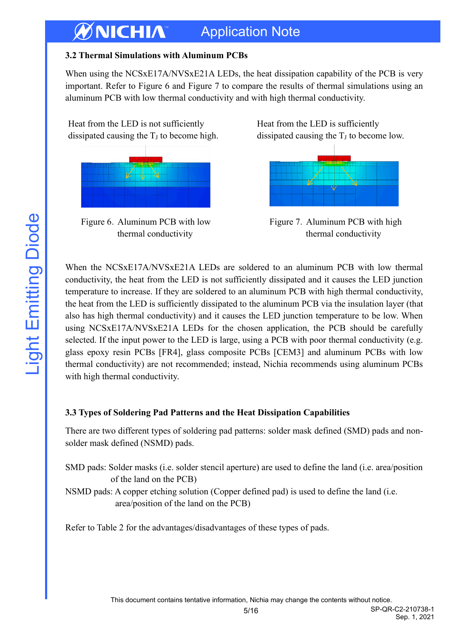#### **3.2 Thermal Simulations with Aluminum PCBs**

When using the NCSxE17A/NVSxE21A LEDs, the heat dissipation capability of the PCB is very important. Refer to Figure 6 and Figure 7 to compare the results of thermal simulations using an aluminum PCB with low thermal conductivity and with high thermal conductivity.



Figure 6.Aluminum PCB with low thermal conductivity

Heat from the LED is sufficiently dissipated causing the  $T_J$  to become low.



Figure 7. Aluminum PCB with high thermal conductivity

When the NCSxE17A/NVSxE21A LEDs are soldered to an aluminum PCB with low thermal conductivity, the heat from the LED is not sufficiently dissipated and it causes the LED junction temperature to increase. If they are soldered to an aluminum PCB with high thermal conductivity, the heat from the LED is sufficiently dissipated to the aluminum PCB via the insulation layer (that also has high thermal conductivity) and it causes the LED junction temperature to be low. When using NCSxE17A/NVSxE21A LEDs for the chosen application, the PCB should be carefully selected. If the input power to the LED is large, using a PCB with poor thermal conductivity (e.g. glass epoxy resin PCBs [FR4], glass composite PCBs [CEM3] and aluminum PCBs with low thermal conductivity) are not recommended; instead, Nichia recommends using aluminum PCBs with high thermal conductivity.

# **3.3 Types of Soldering Pad Patterns and the Heat Dissipation Capabilities**

There are two different types of soldering pad patterns: solder mask defined (SMD) pads and nonsolder mask defined (NSMD) pads.

- SMD pads: Solder masks (i.e. solder stencil aperture) are used to define the land (i.e. area/position of the land on the PCB)
- NSMD pads: A copper etching solution (Copper defined pad) is used to define the land (i.e. area/position of the land on the PCB)

Refer to Table 2 for the advantages/disadvantages of these types of pads.

**Light Emitting Diode**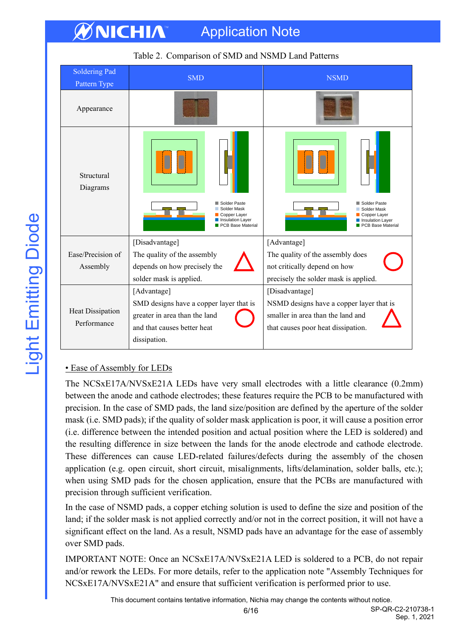|                                        | racio 2. Compañson or plan and racial Dana I automo                                                                                    |                                                                                                                                       |  |  |  |  |  |
|----------------------------------------|----------------------------------------------------------------------------------------------------------------------------------------|---------------------------------------------------------------------------------------------------------------------------------------|--|--|--|--|--|
| <b>Soldering Pad</b><br>Pattern Type   | <b>SMD</b>                                                                                                                             | <b>NSMD</b>                                                                                                                           |  |  |  |  |  |
| Appearance                             |                                                                                                                                        |                                                                                                                                       |  |  |  |  |  |
| Structural<br>Diagrams                 | Solder Paste<br>Solder Mask<br>Copper Layer<br>Insulation Layer<br>PCB Base Material                                                   | Solder Paste<br>Solder Mask<br>Copper Layer<br>Insulation Layer<br>PCB Base Material                                                  |  |  |  |  |  |
| Ease/Precision of<br>Assembly          | [Disadvantage]<br>The quality of the assembly<br>depends on how precisely the<br>solder mask is applied.                               | [Advantage]<br>The quality of the assembly does<br>not critically depend on how<br>precisely the solder mask is applied.              |  |  |  |  |  |
| <b>Heat Dissipation</b><br>Performance | [Advantage]<br>SMD designs have a copper layer that is<br>greater in area than the land<br>and that causes better heat<br>dissipation. | [Disadvantage]<br>NSMD designs have a copper layer that is<br>smaller in area than the land and<br>that causes poor heat dissipation. |  |  |  |  |  |

# Table 2.Comparison of SMD and NSMD Land Patterns

#### • Ease of Assembly for LEDs

The NCSxE17A/NVSxE21A LEDs have very small electrodes with a little clearance (0.2mm) between the anode and cathode electrodes; these features require the PCB to be manufactured with precision. In the case of SMD pads, the land size/position are defined by the aperture of the solder mask (i.e. SMD pads); if the quality of solder mask application is poor, it will cause a position error (i.e. difference between the intended position and actual position where the LED is soldered) and the resulting difference in size between the lands for the anode electrode and cathode electrode. These differences can cause LED-related failures/defects during the assembly of the chosen application (e.g. open circuit, short circuit, misalignments, lifts/delamination, solder balls, etc.); when using SMD pads for the chosen application, ensure that the PCBs are manufactured with precision through sufficient verification.

In the case of NSMD pads, a copper etching solution is used to define the size and position of the land; if the solder mask is not applied correctly and/or not in the correct position, it will not have a significant effect on the land. As a result, NSMD pads have an advantage for the ease of assembly over SMD pads.

IMPORTANT NOTE: Once an NCSxE17A/NVSxE21A LED is soldered to a PCB, do not repair and/or rework the LEDs. For more details, refer to the application note "Assembly Techniques for NCSxE17A/NVSxE21A" and ensure that sufficient verification is performed prior to use.

This document contains tentative information, Nichia may change the contents without notice.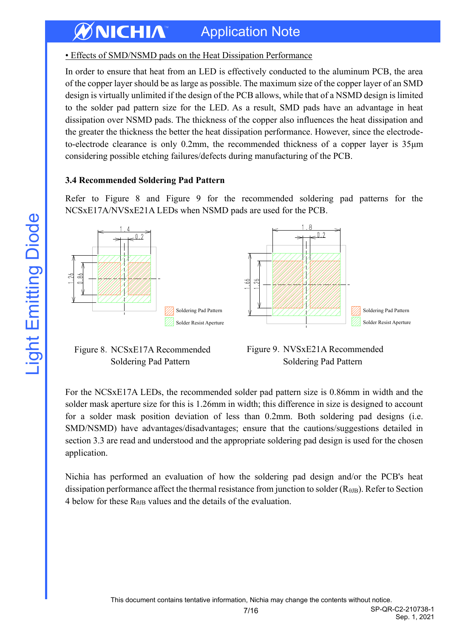# • Effects of SMD/NSMD pads on the Heat Dissipation Performance

In order to ensure that heat from an LED is effectively conducted to the aluminum PCB, the area of the copper layer should be as large as possible. The maximum size of the copper layer of an SMD design is virtually unlimited if the design of the PCB allows, while that of a NSMD design is limited to the solder pad pattern size for the LED. As a result, SMD pads have an advantage in heat dissipation over NSMD pads. The thickness of the copper also influences the heat dissipation and the greater the thickness the better the heat dissipation performance. However, since the electrodeto-electrode clearance is only 0.2mm, the recommended thickness of a copper layer is 35μm considering possible etching failures/defects during manufacturing of the PCB.

## **3.4 Recommended Soldering Pad Pattern**

Refer to Figure 8 and Figure 9 for the recommended soldering pad patterns for the NCSxE17A/NVSxE21A LEDs when NSMD pads are used for the PCB.



## Figure 8.NCSxE17A Recommended Soldering Pad Pattern

Figure 9.NVSxE21A Recommended Soldering Pad Pattern

For the NCSxE17A LEDs, the recommended solder pad pattern size is 0.86mm in width and the solder mask aperture size for this is 1.26mm in width; this difference in size is designed to account for a solder mask position deviation of less than 0.2mm. Both soldering pad designs (i.e. SMD/NSMD) have advantages/disadvantages; ensure that the cautions/suggestions detailed in section 3.3 are read and understood and the appropriate soldering pad design is used for the chosen application.

Nichia has performed an evaluation of how the soldering pad design and/or the PCB's heat dissipation performance affect the thermal resistance from junction to solder  $(R_{\theta IB})$ . Refer to Section 4 below for these  $R_{\theta$ JB values and the details of the evaluation.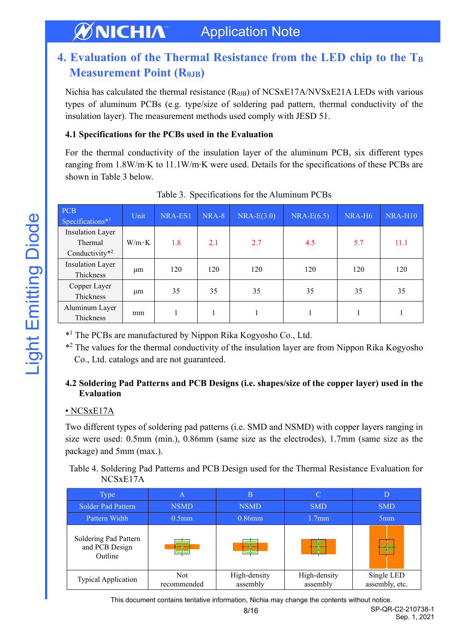# <span id="page-7-0"></span>**4. Evaluation of the Thermal Resistance from the LED chip to the T<sup>B</sup> Measurement Point (RθJB)**

Nichia has calculated the thermal resistance  $(R<sub>θJB</sub>)$  of NCSxE17A/NVSxE21A LEDs with various types of aluminum PCBs (e.g. type/size of soldering pad pattern, thermal conductivity of the insulation layer). The measurement methods used comply with JESD 51.

#### **4.1 Specifications for the PCBs used in the Evaluation**

For the thermal conductivity of the insulation layer of the aluminum PCB, six different types ranging from 1.8W/m∙K to 11.1W/m∙K were used. Details for the specifications of these PCBs are shown in Table 3 below.

| <b>PCB</b><br>Specifications $*1$             | Unit          | NRA-ES1 | NRA-8 | $NRA-E(3.0)$ | $NRA-E(6.5)$ | NRA-H <sub>6</sub> | NRA-H10 |
|-----------------------------------------------|---------------|---------|-------|--------------|--------------|--------------------|---------|
| Insulation Layer<br>Thermal<br>Conductivity*2 | $W/m \cdot K$ | 1.8     | 2.1   | 2.7          | 4.5          | 5.7                | 11.1    |
| Insulation Layer<br>Thickness                 | μm            | 120     | 120   | 120          | 120          | 120                | 120     |
| Copper Layer<br>Thickness                     | μm            | 35      | 35    | 35           | 35           | 35                 | 35      |
| Aluminum Layer<br>Thickness                   | mm            |         |       |              |              |                    |         |

Table 3. Specifications for the Aluminum PCBs

\* <sup>1</sup> The PCBs are manufactured by Nippon Rika Kogyosho Co., Ltd.

\*<sup>2</sup> The values for the thermal conductivity of the insulation layer are from Nippon Rika Kogyosho Co., Ltd. catalogs and are not guaranteed.

## **4.2 Soldering Pad Patterns and PCB Designs (i.e. shapes/size of the copper layer) used in the Evaluation**

# • NCSxE17A

Two different types of soldering pad patterns (i.e. SMD and NSMD) with copper layers ranging in size were used: 0.5mm (min.), 0.86mm (same size as the electrodes), 1.7mm (same size as the package) and 5mm (max.).

Table 4. Soldering Pad Patterns and PCB Design used for the Thermal Resistance Evaluation for NCSxE17A

| <b>Type</b>                                        | Α                         | B                                            |                          |                              |
|----------------------------------------------------|---------------------------|----------------------------------------------|--------------------------|------------------------------|
| <b>Solder Pad Pattern</b>                          | <b>NSMD</b>               | <b>NSMD</b>                                  | <b>SMD</b>               | <b>SMD</b>                   |
| Pattern Width                                      | $0.5$ mm                  | $0.86$ mm                                    | 1.7 <sub>mm</sub>        | 5 <sub>mm</sub>              |
| Soldering Pad Pattern<br>and PCB Design<br>Outline | <u> maren</u>             | 655555555<br><b><i><u>Processing</u></i></b> |                          |                              |
| <b>Typical Application</b>                         | <b>Not</b><br>recommended | High-density<br>assembly                     | High-density<br>assembly | Single LED<br>assembly, etc. |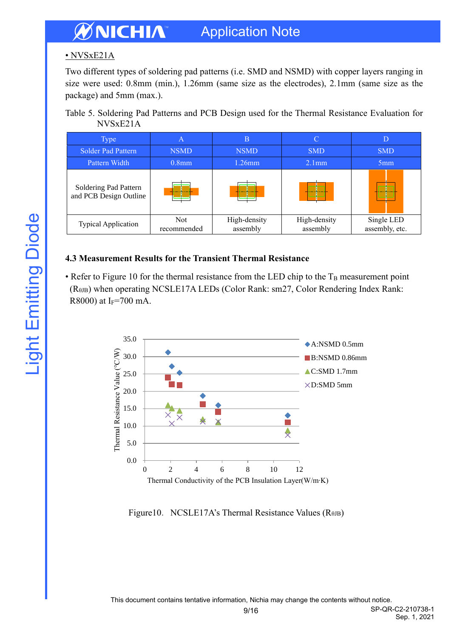# • NVSxE21A

Two different types of soldering pad patterns (i.e. SMD and NSMD) with copper layers ranging in size were used: 0.8mm (min.), 1.26mm (same size as the electrodes), 2.1mm (same size as the package) and 5mm (max.).

Table 5. Soldering Pad Patterns and PCB Design used for the Thermal Resistance Evaluation for NVSxE21A

| Type:                                           | А                              | B                        |                          |                              |
|-------------------------------------------------|--------------------------------|--------------------------|--------------------------|------------------------------|
| <b>Solder Pad Pattern</b>                       | <b>NSMD</b>                    | <b>NSMD</b>              | <b>SMD</b>               | <b>SMD</b>                   |
| Pattern Width                                   | $0.8$ mm                       | $1.26$ mm                | 2.1mm                    | 5 <sub>mm</sub>              |
| Soldering Pad Pattern<br>and PCB Design Outline | ,,,,,,,,,,,,,,<br><u>mmana</u> | $\overline{a}$           |                          |                              |
| <b>Typical Application</b>                      | <b>Not</b><br>recommended      | High-density<br>assembly | High-density<br>assembly | Single LED<br>assembly, etc. |

# **4.3 Measurement Results for the Transient Thermal Resistance**

• Refer to Figure 10 for the thermal resistance from the LED chip to the  $T_B$  measurement point (RθJB) when operating NCSLE17A LEDs (Color Rank: sm27, Color Rendering Index Rank: R8000) at I<sub>F</sub>=700 mA.



Figure10. NCSLE17A's Thermal Resistance Values ( $R$ θJB)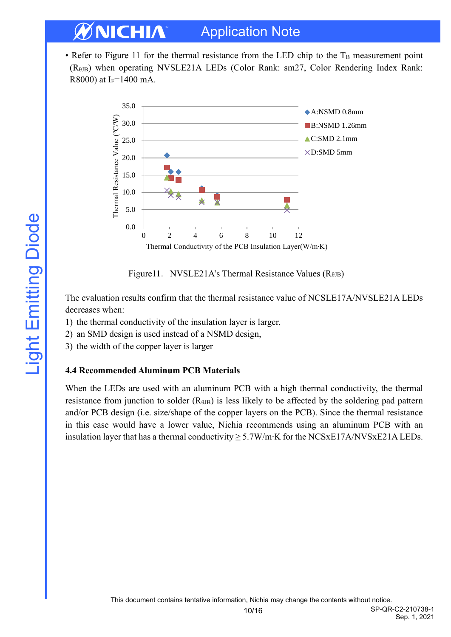• Refer to Figure 11 for the thermal resistance from the LED chip to the  $T_B$  measurement point (RθJB) when operating NVSLE21A LEDs (Color Rank: sm27, Color Rendering Index Rank: R8000) at I<sub>F</sub>=1400 mA.





The evaluation results confirm that the thermal resistance value of NCSLE17A/NVSLE21A LEDs decreases when:

- 1) the thermal conductivity of the insulation layer is larger,
- 2) an SMD design is used instead of a NSMD design,
- 3) the width of the copper layer is larger

#### **4.4 Recommended Aluminum PCB Materials**

When the LEDs are used with an aluminum PCB with a high thermal conductivity, the thermal resistance from junction to solder  $(R_{\theta_{\text{JB}}})$  is less likely to be affected by the soldering pad pattern and/or PCB design (i.e. size/shape of the copper layers on the PCB). Since the thermal resistance in this case would have a lower value, Nichia recommends using an aluminum PCB with an insulation layer that has a thermal conductivity ≥ 5.7W/m∙K for the NCSxE17A/NVSxE21A LEDs.

Sep. 1, 2021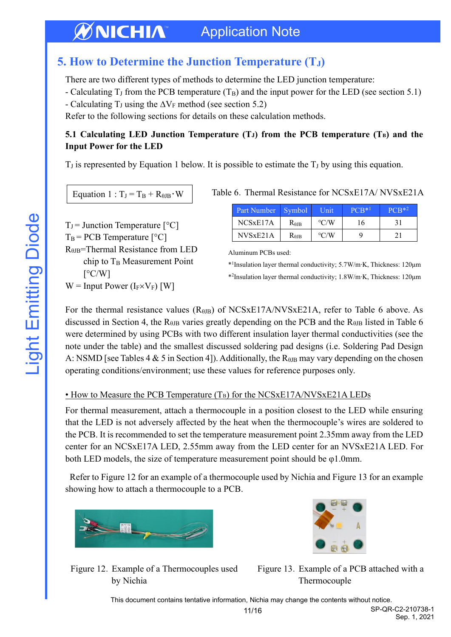# <span id="page-10-0"></span>**5. How to Determine the Junction Temperature (TJ)**

There are two different types of methods to determine the LED junction temperature:

- Calculating  $T_J$  from the PCB temperature  $(T_B)$  and the input power for the LED (see section 5.1)
- Calculating T<sub>J</sub> using the  $\Delta V_F$  method (see section 5.2)

Refer to the following sections for details on these calculation methods.

#### **5.1 Calculating LED Junction Temperature (TJ) from the PCB temperature (TB) and the Input Power for the LED**

 $T_J$  is represented by Equation 1 below. It is possible to estimate the  $T_J$  by using this equation.

Equation  $1: T_J = T_B + R_{\theta J B} \cdot W$ 

 $T_J$  = Junction Temperature  $[°C]$  $T_B$  = PCB Temperature  $[^{\circ}C]$ RθJB=Thermal Resistance from LED chip to  $T_B$  Measurement Point  $\lceil$ °C/W]  $W =$  Input Power (I<sub>F</sub> $\times$ V<sub>F</sub>) [W]

|  |  | Table 6. Thermal Resistance for NCSxE17A/NVSxE21A |
|--|--|---------------------------------------------------|
|  |  |                                                   |

| Part Number   Symbol  |                 | Unit               | $PCB*1$ | $PCR*2$ |
|-----------------------|-----------------|--------------------|---------|---------|
| NCS <sub>xE</sub> 17A | $R_{\theta}$ jb | $\rm ^{\circ}$ C/W | 16      | 31      |
| NVSxE21A              | Rair            | $\rm ^{\circ}$ C/W |         | 21      |

Aluminum PCBs used:

\* 1 Insulation layer thermal conductivity; 5.7W/m∙K, Thickness: 120μm

\* 2 Insulation layer thermal conductivity; 1.8W/m∙K, Thickness: 120μm

For the thermal resistance values  $(R_{\theta$ JB) of NCSxE17A/NVSxE21A, refer to Table 6 above. As discussed in Section 4, the  $R_{\theta$ B varies greatly depending on the PCB and the  $R_{\theta$ B listed in Table 6 were determined by using PCBs with two different insulation layer thermal conductivities (see the note under the table) and the smallest discussed soldering pad designs (i.e. Soldering Pad Design A: NSMD [see Tables 4 & 5 in Section 4]). Additionally, the  $R_{\theta$  may vary depending on the chosen operating conditions/environment; use these values for reference purposes only.

#### • How to Measure the PCB Temperature (T<sub>B</sub>) for the NCSxE17A/NVSxE21A LEDs

For thermal measurement, attach a thermocouple in a position closest to the LED while ensuring that the LED is not adversely affected by the heat when the thermocouple's wires are soldered to the PCB. It is recommended to set the temperature measurement point 2.35mm away from the LED center for an NCSxE17A LED, 2.55mm away from the LED center for an NVSxE21A LED. For both LED models, the size of temperature measurement point should be  $\varphi$ 1.0mm.

Refer to Figure 12 for an example of a thermocouple used by Nichia and Figure 13 for an example showing how to attach a thermocouple to a PCB.



Figure 12. Example of a Thermocouples used by Nichia



Figure 13. Example of a PCB attached with a Thermocouple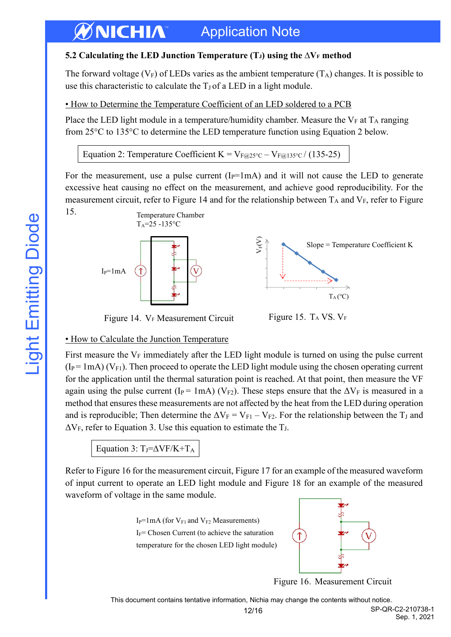## **5.2 Calculating the LED Junction Temperature (TJ) using the ∆V<sup>F</sup> method**

The forward voltage  $(V_F)$  of LEDs varies as the ambient temperature  $(T_A)$  changes. It is possible to use this characteristic to calculate the  $T_J$  of a LED in a light module.

• How to Determine the Temperature Coefficient of an LED soldered to a PCB

Place the LED light module in a temperature/humidity chamber. Measure the  $V_F$  at  $T_A$  ranging from 25°C to 135°C to determine the LED temperature function using Equation 2 below.

Equation 2: Temperature Coefficient K =  $V_{F@25°C} - V_{F@135°C}$  (135-25)

For the measurement, use a pulse current  $(I_P=1mA)$  and it will not cause the LED to generate excessive heat causing no effect on the measurement, and achieve good reproducibility. For the measurement circuit, refer to Figure 14 and for the relationship between  $T_A$  and  $V_F$ , refer to Figure



#### • How to Calculate the Junction Temperature

First measure the  $V_F$  immediately after the LED light module is turned on using the pulse current  $(I_P = 1 \text{ mA})$  (V<sub>F1</sub>). Then proceed to operate the LED light module using the chosen operating current for the application until the thermal saturation point is reached. At that point, then measure the VF again using the pulse current (I<sub>P</sub> = 1mA) (V<sub>F2</sub>). These steps ensure that the  $\Delta V_F$  is measured in a method that ensures these measurements are not affected by the heat from the LED during operation and is reproducible; Then determine the  $\Delta V_F = V_{F1} - V_{F2}$ . For the relationship between the T<sub>J</sub> and  $\Delta V_F$ , refer to Equation 3. Use this equation to estimate the T<sub>J</sub>.

Equation 3: TJ= $\Delta$ VF/K+T<sub>A</sub>

Refer to Figure 16 for the measurement circuit, Figure 17 for an example of the measured waveform of input current to operate an LED light module and Figure 18 for an example of the measured waveform of voltage in the same module.





Figure 16. Measurement Circuit

This document contains tentative information, Nichia may change the contents without notice.

12/16 SP-QR-C2-210738-1 Sep. 1, 2021

15.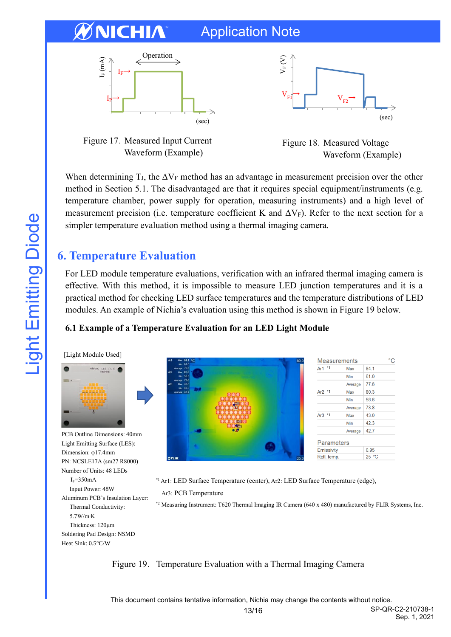# CHIA

# Application Note







Figure 18. Measured Voltage Waveform (Example)

When determining T<sub>J</sub>, the  $\Delta V_F$  method has an advantage in measurement precision over the other method in Section 5.1. The disadvantaged are that it requires special equipment/instruments (e.g. temperature chamber, power supply for operation, measuring instruments) and a high level of measurement precision (i.e. temperature coefficient K and  $\Delta V_F$ ). Refer to the next section for a simpler temperature evaluation method using a thermal imaging camera.

# <span id="page-12-0"></span>**6. Temperature Evaluation**

For LED module temperature evaluations, verification with an infrared thermal imaging camera is effective. With this method, it is impossible to measure LED junction temperatures and it is a practical method for checking LED surface temperatures and the temperature distributions of LED modules. An example of Nichia's evaluation using this method is shown in Figure 19 below.

# **6.1 Example of a Temperature Evaluation for an LED Light Module**

[Light Module Used]



PCB Outline Dimensions: 40mm Light Emitting Surface (LES): Dimension: φ17.4mm PN: NCSLE17A (sm27 R8000) Number of Units: 48 LEDs  $I_F = 350mA$ Input Power: 48W Aluminum PCB's Insulation Layer: Thermal Conductivity: 5.7W/m∙K Thickness: 120μm Soldering Pad Design: NSMD Heat Sink: 0.5°C/W



\*1 Ar1: LED Surface Temperature (center), Ar2: LED Surface Temperature (edge),

Ar3: PCB Temperature

\*2 Measuring Instrument: T620 Thermal Imaging IR Camera (640 x 480) manufactured by FLIR Systems, Inc.

Figure 19. Temperature Evaluation with a Thermal Imaging Camera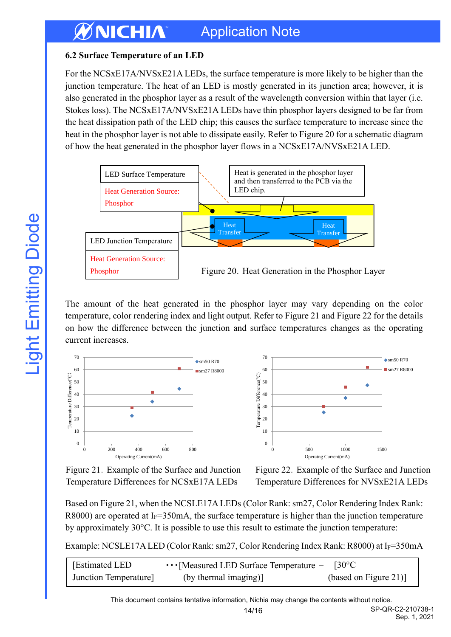## **6.2 Surface Temperature of an LED**

For the NCSxE17A/NVSxE21A LEDs, the surface temperature is more likely to be higher than the junction temperature. The heat of an LED is mostly generated in its junction area; however, it is also generated in the phosphor layer as a result of the wavelength conversion within that layer (i.e. Stokes loss). The NCSxE17A/NVSxE21A LEDs have thin phosphor layers designed to be far from the heat dissipation path of the LED chip; this causes the surface temperature to increase since the heat in the phosphor layer is not able to dissipate easily. Refer to Figure 20 for a schematic diagram of how the heat generated in the phosphor layer flows in a NCSxE17A/NVSxE21A LED.



The amount of the heat generated in the phosphor layer may vary depending on the color temperature, color rendering index and light output. Refer to Figure 21 and Figure 22 for the details on how the difference between the junction and surface temperatures changes as the operating current increases.





Figure 21.Example of the Surface and Junction Temperature Differences for NCSxE17A LEDs

Figure 22.Example of the Surface and Junction Temperature Differences for NVSxE21A LEDs

Based on Figure 21, when the NCSLE17A LEDs (Color Rank: sm27, Color Rendering Index Rank: R8000) are operated at  $I_F=350$  mA, the surface temperature is higher than the junction temperature by approximately 30°C. It is possible to use this result to estimate the junction temperature:

Example: NCSLE17ALED (Color Rank: sm27, Color Rendering Index Rank: R8000) at IF=350mA

| <b>Estimated LED</b> | $\cdots$ [Measured LED Surface Temperature $-$ | $130^{\circ}$ C       |
|----------------------|------------------------------------------------|-----------------------|
| Junction Temperature | (by thermal imaging)]                          | (based on Figure 21)] |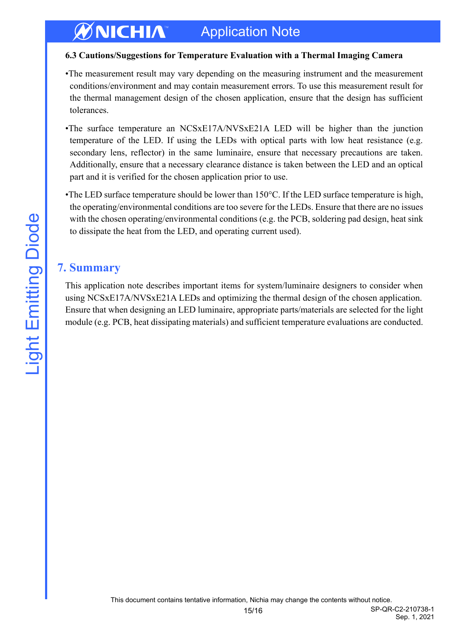#### **6.3 Cautions/Suggestions for Temperature Evaluation with a Thermal Imaging Camera**

- •The measurement result may vary depending on the measuring instrument and the measurement conditions/environment and may contain measurement errors. To use this measurement result for the thermal management design of the chosen application, ensure that the design has sufficient tolerances.
- •The surface temperature an NCSxE17A/NVSxE21A LED will be higher than the junction temperature of the LED. If using the LEDs with optical parts with low heat resistance (e.g. secondary lens, reflector) in the same luminaire, ensure that necessary precautions are taken. Additionally, ensure that a necessary clearance distance is taken between the LED and an optical part and it is verified for the chosen application prior to use.
- •The LED surface temperature should be lower than 150°C. If the LED surface temperature is high, the operating/environmental conditions are too severe for the LEDs. Ensure that there are no issues with the chosen operating/environmental conditions (e.g. the PCB, soldering pad design, heat sink to dissipate the heat from the LED, and operating current used).

# <span id="page-14-0"></span>**7. Summary**

This application note describes important items for system/luminaire designers to consider when using NCSxE17A/NVSxE21A LEDs and optimizing the thermal design of the chosen application. Ensure that when designing an LED luminaire, appropriate parts/materials are selected for the light module (e.g. PCB, heat dissipating materials) and sufficient temperature evaluations are conducted.

Sep. 1, 2021